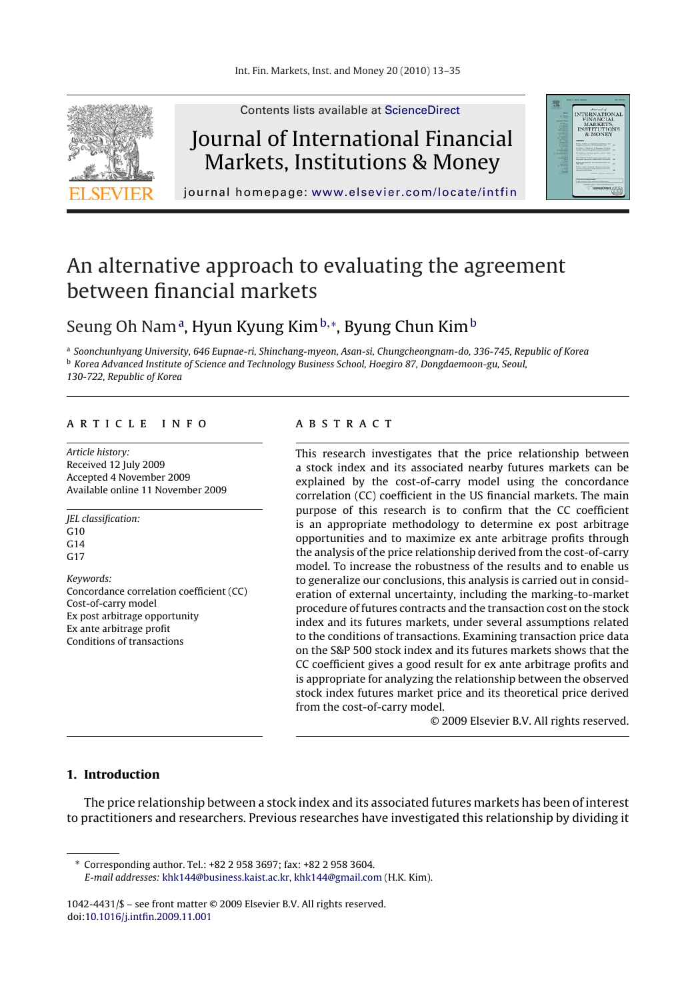

Contents lists available at [ScienceDirect](http://www.sciencedirect.com/science/journal/10424431)

# Journal of International Financial Markets, Institutions & Money



journal homepage: [www.elsevier.com/locate/intfin](http://www.elsevier.com/locate/intfin)

# An alternative approach to evaluating the agreement between financial markets

### Seung Oh Namª, Hyun Kyung Kim<sup>b,</sup>\*, Byung Chun Kim<sup>b</sup>

<sup>a</sup> Soonchunhyang University, 646 Eupnae-ri, Shinchang-myeon, Asan-si, Chungcheongnam-do, 336-745, Republic of Korea

<sup>b</sup> Korea Advanced Institute of Science and Technology Business School, Hoegiro 87, Dongdaemoon-gu, Seoul,

130-722, Republic of Korea

#### article info

Article history: Received 12 July 2009 Accepted 4 November 2009 Available online 11 November 2009

JEL classification: G<sub>10</sub>  $C<sub>14</sub>$ G17

Keywords: Concordance correlation coefficient (CC) Cost-of-carry model Ex post arbitrage opportunity Ex ante arbitrage profit Conditions of transactions

#### **ABSTRACT**

This research investigates that the price relationship between a stock index and its associated nearby futures markets can be explained by the cost-of-carry model using the concordance correlation (CC) coefficient in the US financial markets. The main purpose of this research is to confirm that the CC coefficient is an appropriate methodology to determine ex post arbitrage opportunities and to maximize ex ante arbitrage profits through the analysis of the price relationship derived from the cost-of-carry model. To increase the robustness of the results and to enable us to generalize our conclusions, this analysis is carried out in consideration of external uncertainty, including the marking-to-market procedure of futures contracts and the transaction cost on the stock index and its futures markets, under several assumptions related to the conditions of transactions. Examining transaction price data on the S&P 500 stock index and its futures markets shows that the CC coefficient gives a good result for ex ante arbitrage profits and is appropriate for analyzing the relationship between the observed stock index futures market price and its theoretical price derived from the cost-of-carry model.

© 2009 Elsevier B.V. All rights reserved.

#### **1. Introduction**

The price relationship between a stock index and its associated futures markets has been of interest to practitioners and researchers. Previous researches have investigated this relationship by dividing it

∗ Corresponding author. Tel.: +82 2 958 3697; fax: +82 2 958 3604. E-mail addresses: [khk144@business.kaist.ac.kr,](mailto:khk144@business.kaist.ac.kr) [khk144@gmail.com](mailto:khk144@gmail.com) (H.K. Kim).

1042-4431/\$ – see front matter © 2009 Elsevier B.V. All rights reserved. doi:[10.1016/j.intfin.2009.11.001](dx.doi.org/10.1016/j.intfin.2009.11.001)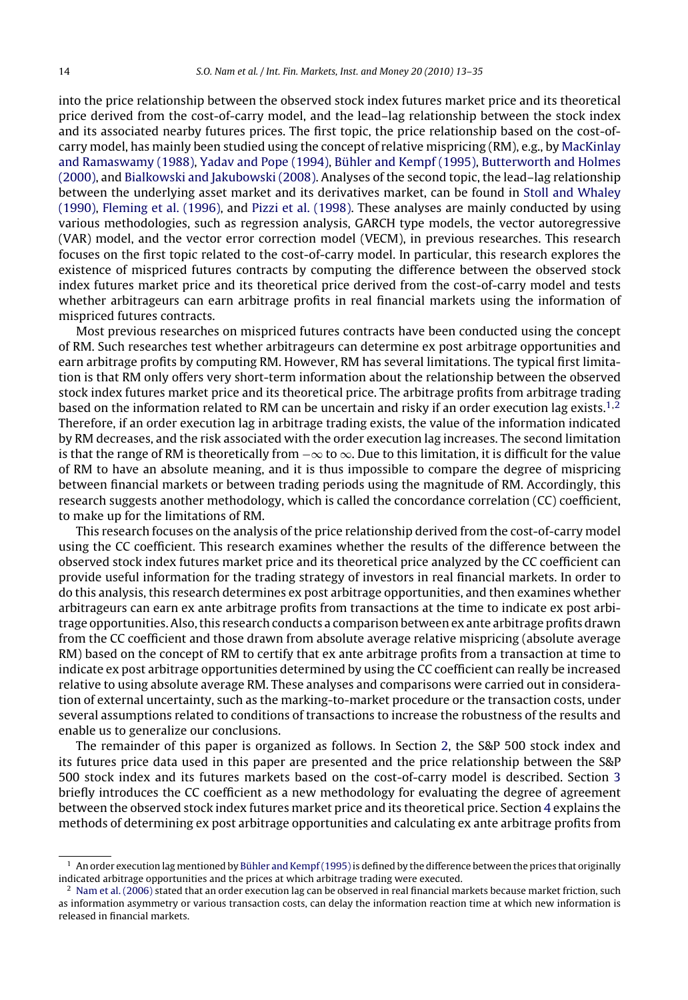into the price relationship between the observed stock index futures market price and its theoretical price derived from the cost-of-carry model, and the lead–lag relationship between the stock index and its associated nearby futures prices. The first topic, the price relationship based on the cost-ofcarry model, has mainly been studied using the concept of relative mispricing (RM), e.g., by [MacKinlay](#page--1-0) [and Ramaswamy \(1988\),](#page--1-0) [Yadav and Pope \(1994\),](#page--1-0) [Bühler and Kempf \(1995\),](#page--1-0) [Butterworth and Holmes](#page--1-0) [\(2000\), a](#page--1-0)nd [Bialkowski and Jakubowski \(2008\). A](#page--1-0)nalyses of the second topic, the lead–lag relationship between the underlying asset market and its derivatives market, can be found in [Stoll and Whaley](#page--1-0) [\(1990\),](#page--1-0) [Fleming et al. \(1996\), a](#page--1-0)nd [Pizzi et al. \(1998\). T](#page--1-0)hese analyses are mainly conducted by using various methodologies, such as regression analysis, GARCH type models, the vector autoregressive (VAR) model, and the vector error correction model (VECM), in previous researches. This research focuses on the first topic related to the cost-of-carry model. In particular, this research explores the existence of mispriced futures contracts by computing the difference between the observed stock index futures market price and its theoretical price derived from the cost-of-carry model and tests whether arbitrageurs can earn arbitrage profits in real financial markets using the information of mispriced futures contracts.

Most previous researches on mispriced futures contracts have been conducted using the concept of RM. Such researches test whether arbitrageurs can determine ex post arbitrage opportunities and earn arbitrage profits by computing RM. However, RM has several limitations. The typical first limitation is that RM only offers very short-term information about the relationship between the observed stock index futures market price and its theoretical price. The arbitrage profits from arbitrage trading based on the information related to RM can be uncertain and risky if an order execution lag exists.<sup>1,2</sup> Therefore, if an order execution lag in arbitrage trading exists, the value of the information indicated by RM decreases, and the risk associated with the order execution lag increases. The second limitation is that the range of RM is theoretically from  $-\infty$  to  $\infty$ . Due to this limitation, it is difficult for the value of RM to have an absolute meaning, and it is thus impossible to compare the degree of mispricing between financial markets or between trading periods using the magnitude of RM. Accordingly, this research suggests another methodology, which is called the concordance correlation (CC) coefficient, to make up for the limitations of RM.

This research focuses on the analysis of the price relationship derived from the cost-of-carry model using the CC coefficient. This research examines whether the results of the difference between the observed stock index futures market price and its theoretical price analyzed by the CC coefficient can provide useful information for the trading strategy of investors in real financial markets. In order to do this analysis, this research determines ex post arbitrage opportunities, and then examines whether arbitrageurs can earn ex ante arbitrage profits from transactions at the time to indicate ex post arbitrage opportunities. Also, this research conducts a comparison between ex ante arbitrage profits drawn from the CC coefficient and those drawn from absolute average relative mispricing (absolute average RM) based on the concept of RM to certify that ex ante arbitrage profits from a transaction at time to indicate ex post arbitrage opportunities determined by using the CC coefficient can really be increased relative to using absolute average RM. These analyses and comparisons were carried out in consideration of external uncertainty, such as the marking-to-market procedure or the transaction costs, under several assumptions related to conditions of transactions to increase the robustness of the results and enable us to generalize our conclusions.

The remainder of this paper is organized as follows. In Section [2, t](#page--1-0)he S&P 500 stock index and its futures price data used in this paper are presented and the price relationship between the S&P 500 stock index and its futures markets based on the cost-of-carry model is described. Section [3](#page--1-0) briefly introduces the CC coefficient as a new methodology for evaluating the degree of agreement between the observed stock index futures market price and its theoretical price. Section [4](#page--1-0) explains the methods of determining ex post arbitrage opportunities and calculating ex ante arbitrage profits from

 $1$  An order execution lag mentioned by Bühler and Kempf (1995) is defined by the difference between the prices that originally indicated arbitrage opportunities and the prices at which arbitrage trading were executed.

 $2$  [Nam et al. \(2006\)](#page--1-0) stated that an order execution lag can be observed in real financial markets because market friction, such as information asymmetry or various transaction costs, can delay the information reaction time at which new information is released in financial markets.